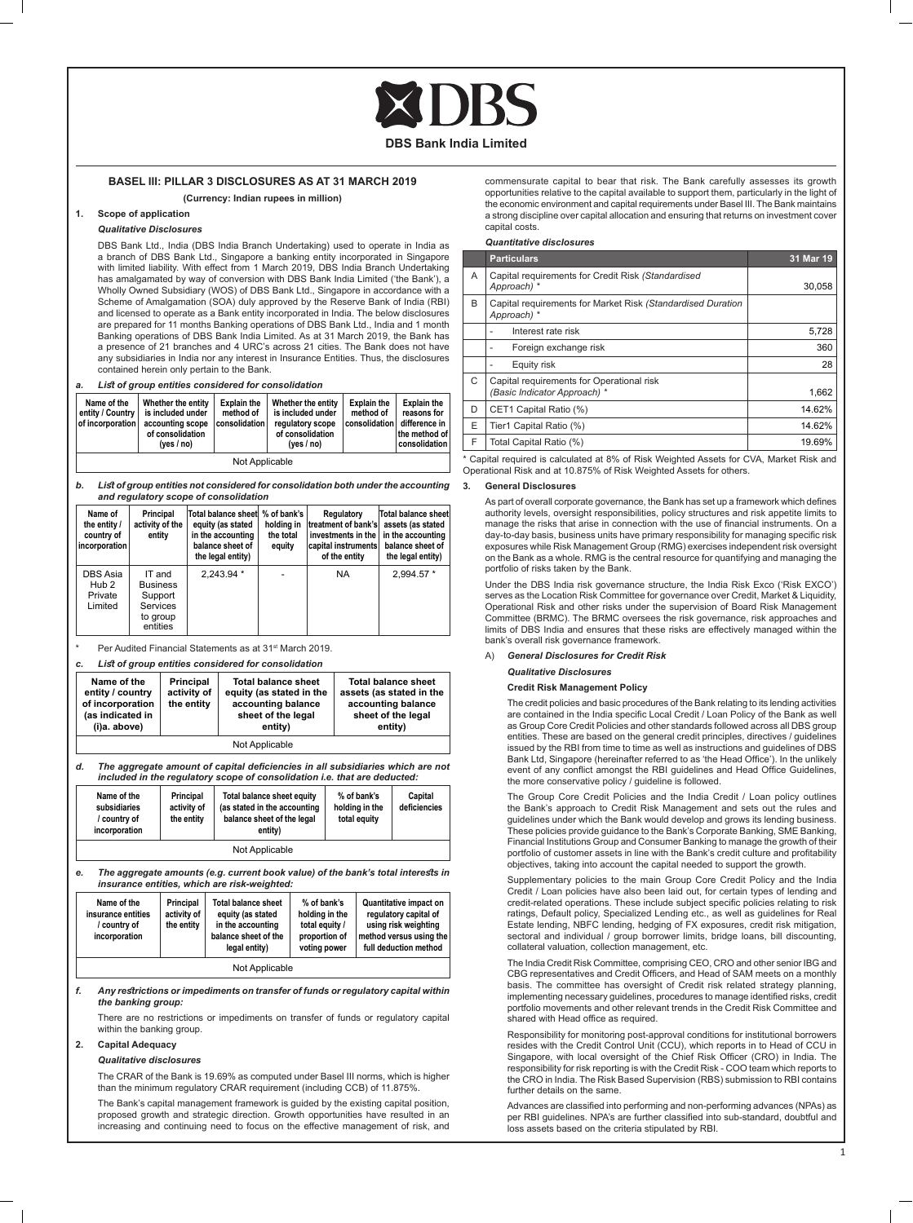#### **BASEL III: PILLAR 3 DISCLOSURES AS AT 31 MARCH 2019 (Currency: Indian rupees in million)**

#### **1. Scope of application**

#### *Qualitative Disclosures*

DBS Bank Ltd., India (DBS India Branch Undertaking) used to operate in India as a branch of DBS Bank Ltd., Singapore a banking entity incorporated in Singapore with limited liability. With effect from 1 March 2019, DBS India Branch Undertaking has amalgamated by way of conversion with DBS Bank India Limited ('the Bank'), a Wholly Owned Subsidiary (WOS) of DBS Bank Ltd., Singapore in accordance with a Scheme of Amalgamation (SOA) duly approved by the Reserve Bank of India (RBI) and licensed to operate as a Bank entity incorporated in India. The below disclosures are prepared for 11 months Banking operations of DBS Bank Ltd., India and 1 month<br>Banking operations of DBS Bank India Limited. As at 31 March 2019, the Bank has a presence of 21 branches and 4 URC's across 21 cities. The Bank does not have any subsidiaries in India nor any interest in Insurance Entities. Thus, the disclosures contained herein only pertain to the Bank.

| a. |  |  |  | List of group entities considered for consolidation |
|----|--|--|--|-----------------------------------------------------|
|----|--|--|--|-----------------------------------------------------|

| Name of the<br>entity / Country  <br>of incorporation | Whether the entity<br>is included under<br>accounting scope<br>of consolidation<br>ives / no) | <b>Explain the</b><br>method of<br>consolidation | Whether the entity<br>is included under<br>regulatory scope<br>of consolidation<br>ives / no) | <b>Explain the</b><br>method of<br>consolidation | <b>Explain the</b><br>reasons for<br>difference in<br>the method of<br>consolidation |  |
|-------------------------------------------------------|-----------------------------------------------------------------------------------------------|--------------------------------------------------|-----------------------------------------------------------------------------------------------|--------------------------------------------------|--------------------------------------------------------------------------------------|--|
| Not Applicable                                        |                                                                                               |                                                  |                                                                                               |                                                  |                                                                                      |  |

*b. List of group entities not considered for consolidation both under the accounting and regulatory scope of consolidation*

| Name of<br>the entity /<br>country of<br>incorporation | Principal<br>activity of the<br>entity                                   | Total balance sheet \% of bank's<br>equity (as stated<br>in the accounting<br>balance sheet of<br>the legal entity) | holding in<br>the total<br>equity | Regulatory<br>treatment of bank's<br>investments in the<br> capital instruments <br>of the entity | <b>Total balance sheet</b><br>assets (as stated<br>in the accounting<br>balance sheet of<br>the legal entity) |
|--------------------------------------------------------|--------------------------------------------------------------------------|---------------------------------------------------------------------------------------------------------------------|-----------------------------------|---------------------------------------------------------------------------------------------------|---------------------------------------------------------------------------------------------------------------|
| DBS Asia<br>Hub <sub>2</sub><br>Private<br>Limited     | IT and<br><b>Business</b><br>Support<br>Services<br>to group<br>entities | $2.243.94*$                                                                                                         |                                   | <b>NA</b>                                                                                         | 2.994.57 *                                                                                                    |

Per Audited Financial Statements as at 31<sup>st</sup> March 2019.

*c. List of group entities considered for consolidation*

| Name of the<br>entity / country<br>of incorporation<br>(as indicated in<br>(i)a. above) | Principal<br>activity of<br>the entity | <b>Total balance sheet</b><br>equity (as stated in the<br>accounting balance<br>sheet of the legal<br>entity) | <b>Total balance sheet</b><br>assets (as stated in the<br>accounting balance<br>sheet of the legal<br>entity) |  |  |  |
|-----------------------------------------------------------------------------------------|----------------------------------------|---------------------------------------------------------------------------------------------------------------|---------------------------------------------------------------------------------------------------------------|--|--|--|
| Not Applicable                                                                          |                                        |                                                                                                               |                                                                                                               |  |  |  |

*d. The aggregate amount of capital deficiencies in all subsidiaries which are not included in the regulatory scope of consolidation i.e. that are deducted:*

| Name of the<br>subsidiaries<br>/ country of | Principal<br>activity of<br>the entity | Total balance sheet equity<br>(as stated in the accounting<br>balance sheet of the legal | % of bank's<br>holding in the<br>total equity | Capital<br>deficiencies |
|---------------------------------------------|----------------------------------------|------------------------------------------------------------------------------------------|-----------------------------------------------|-------------------------|
| incorporation                               |                                        | entity)                                                                                  |                                               |                         |

Not Applicable

*e. The aggregate amounts (e.g. current book value) of the bank's total interests in insurance entities, which are risk-weighted:*

| Name of the<br>insurance entities<br>/ country of<br>incorporation | Principal<br>activity of<br>the entity | <b>Total balance sheet</b><br>equity (as stated<br>in the accounting<br>balance sheet of the<br>legal entity) | % of bank's<br>holding in the<br>total equity /<br>proportion of<br>voting power | <b>Quantitative impact on</b><br>regulatory capital of<br>using risk weighting<br>method versus using the<br>full deduction method |  |  |  |
|--------------------------------------------------------------------|----------------------------------------|---------------------------------------------------------------------------------------------------------------|----------------------------------------------------------------------------------|------------------------------------------------------------------------------------------------------------------------------------|--|--|--|
| Not Applicable                                                     |                                        |                                                                                                               |                                                                                  |                                                                                                                                    |  |  |  |

*f. Any restrictions or impediments on transfer of funds or regulatory capital within the banking group:*

There are no restrictions or impediments on transfer of funds or regulatory capital within the banking group.

#### **2. Capital Adequacy**

#### *Qualitative disclosures*

The CRAR of the Bank is 19.69% as computed under Basel III norms, which is higher than the minimum regulatory CRAR requirement (including CCB) of 11.875%.

The Bank's capital management framework is guided by the existing capital position, proposed growth and strategic direction. Growth opportunities have resulted in an increasing and continuing need to focus on the effective management of risk, and commensurate capital to bear that risk. The Bank carefully assesses its growth opportunities relative to the capital available to support them, particularly in the light of the economic environment and capital requirements under Basel III. The Bank maintains a strong discipline over capital allocation and ensuring that returns on investment cover capital costs.

#### *Quantitative disclosures*

|   | <b>Particulars</b>                                                         | 31 Mar 19 |
|---|----------------------------------------------------------------------------|-----------|
| A | Capital requirements for Credit Risk (Standardised<br>Approach) *          | 30.058    |
| B | Capital requirements for Market Risk (Standardised Duration<br>Approach) * |           |
|   | Interest rate risk                                                         | 5,728     |
|   | Foreign exchange risk                                                      | 360       |
|   | Equity risk                                                                | 28        |
| C | Capital requirements for Operational risk<br>(Basic Indicator Approach) *  | 1.662     |
| D | CET1 Capital Ratio (%)                                                     | 14.62%    |
| E | Tier1 Capital Ratio (%)                                                    | 14.62%    |
| F | Total Capital Ratio (%)                                                    | 19.69%    |

Capital required is calculated at 8% of Risk Weighted Assets for CVA, Market Risk and Operational Risk and at 10.875% of Risk Weighted Assets for others.

#### **3. General Disclosures**

 As part of overall corporate governance, the Bank has set up a framework which defines authority levels, oversight responsibilities, policy structures and risk appetite limits to manage the risks that arise in connection with the use of financial instruments. On a day-to-day basis, business units have primary responsibility for managing specific risk exposures while Risk Management Group (RMG) exercises independent risk oversight on the Bank as a whole. RMG is the central resource for quantifying and managing the portfolio of risks taken by the Bank.

Under the DBS India risk governance structure, the India Risk Exco ('Risk EXCO') serves as the Location Risk Committee for governance over Credit, Market & Liquidity, Operational Risk and other risks under the supervision of Board Risk Management Committee (BRMC). The BRMC oversees the risk governance, risk approaches and limits of DBS India and ensures that these risks are effectively managed within the bank's overall risk governance framework.

#### A) *General Disclosures for Credit Risk*

#### *Qualitative Disclosures*

**Credit Risk Management Policy**

The credit policies and basic procedures of the Bank relating to its lending activities are contained in the India specific Local Credit / Loan Policy of the Bank as well as Group Core Credit Policies and other standards followed across all DBS group entities. These are based on the general credit principles, directives / guidelines issued by the RBI from time to time as well as instructions and guidelines of DBS Bank Ltd, Singapore (hereinafter referred to as 'the Head Office'). In the unlikely event of any conflict amongst the RBI guidelines and Head Office Guidelines, the more conservative policy / guideline is followed.

 The Group Core Credit Policies and the India Credit / Loan policy outlines the Bank's approach to Credit Risk Management and sets out the rules and guidelines under which the Bank would develop and grows its lending business. These policies provide guidance to the Bank's Corporate Banking, SME Banking, Financial Institutions Group and Consumer Banking to manage the growth of their portfolio of customer assets in line with the Bank's credit culture and profitability objectives, taking into account the capital needed to support the growth.

Supplementary policies to the main Group Core Credit Policy and the India Credit / Loan policies have also been laid out, for certain types of lending and credit-related operations. These include subject specific policies relating to risk ratings, Default policy, Specialized Lending etc., as well as guidelines for Real Estate lending, NBFC lending, hedging of FX exposures, credit risk mitigation, sectoral and individual / group borrower limits, bridge loans, bill discounting, collateral valuation, collection management, etc.

The India Credit Risk Committee, comprising CEO, CRO and other senior IBG and CBG representatives and Credit Officers, and Head of SAM meets on a monthly basis. The committee has oversight of Credit risk related strategy planning, implementing necessary guidelines, procedures to manage identified risks, credit portfolio movements and other relevant trends in the Credit Risk Committee and shared with Head office as required.

Responsibility for monitoring post-approval conditions for institutional borrowers resides with the Credit Control Unit (CCU), which reports in to Head of CCU in Singapore, with local oversight of the Chief Risk Officer (CRO) in India. The responsibility for risk reporting is with the Credit Risk - COO team which reports to the CRO in India. The Risk Based Supervision (RBS) submission to RBI contains further details on the same.

 Advances are classified into performing and non-performing advances (NPAs) as per RBI guidelines. NPA's are further classified into sub-standard, doubtful and loss assets based on the criteria stipulated by RBI.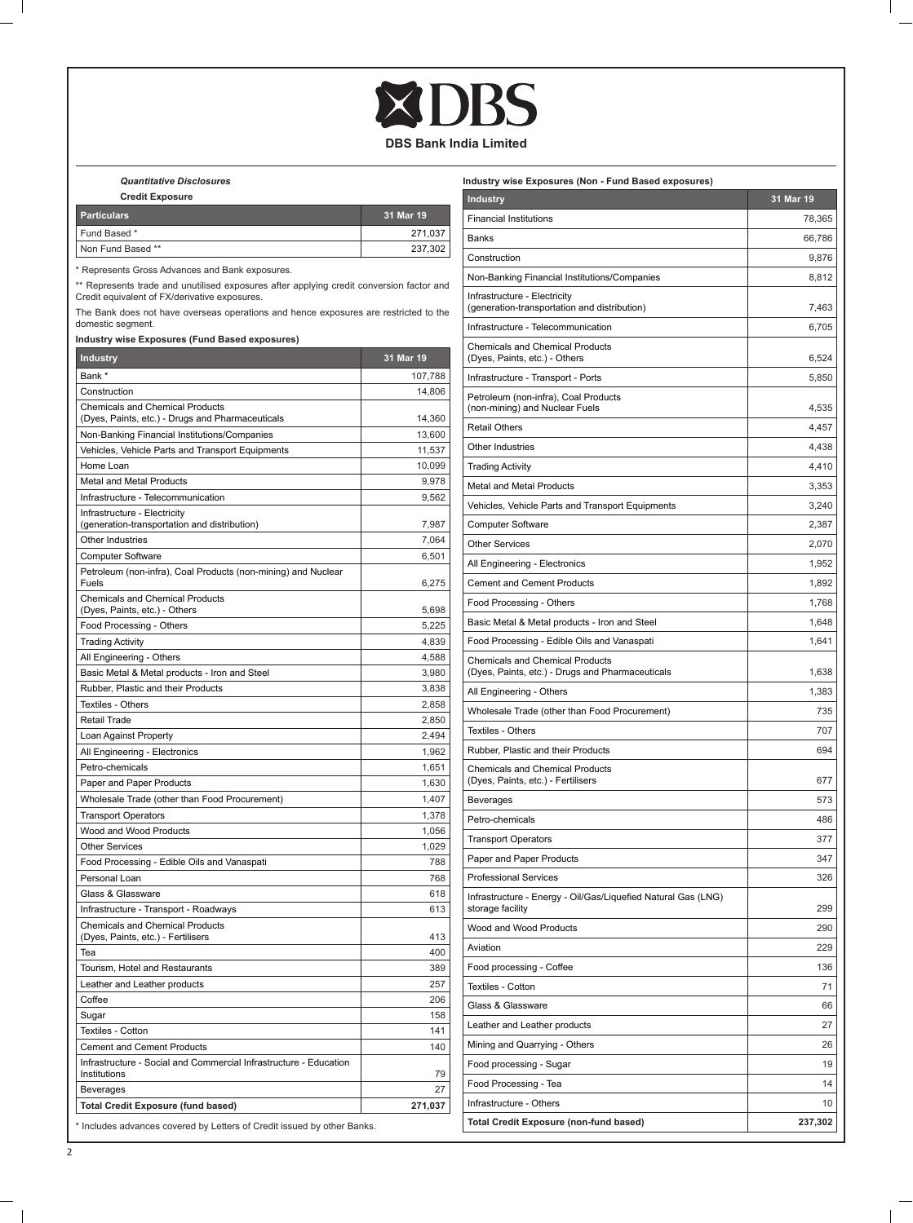## **XDBS**

## **DBS Bank India Limited**

 *Quantitative Disclosures*

 $\mathbb{R}$ 

| <b>Credit Exposure</b> |           |
|------------------------|-----------|
| <b>Particulars</b>     | 31 Mar 19 |
| Fund Based *           | 271.037   |
| Non Fund Based **      | 237.302   |

\* Represents Gross Advances and Bank exposures.

\*\* Represents trade and unutilised exposures after applying credit conversion factor and Credit equivalent of FX/derivative exposures.

The Bank does not have overseas operations and hence exposures are restricted to the domestic segment.

**Industry wise Exposures (Fund Based exposures)**

| <b>Industry</b>                                                                   | 31 Mar 19 |
|-----------------------------------------------------------------------------------|-----------|
| Bank *                                                                            | 107,788   |
| Construction                                                                      | 14,806    |
| <b>Chemicals and Chemical Products</b>                                            |           |
| (Dyes, Paints, etc.) - Drugs and Pharmaceuticals                                  | 14,360    |
| Non-Banking Financial Institutions/Companies                                      | 13,600    |
| Vehicles, Vehicle Parts and Transport Equipments                                  | 11,537    |
| Home Loan                                                                         | 10,099    |
| Metal and Metal Products                                                          | 9,978     |
| Infrastructure - Telecommunication                                                | 9,562     |
| Infrastructure - Electricity<br>(generation-transportation and distribution)      | 7,987     |
| Other Industries                                                                  | 7,064     |
| <b>Computer Software</b>                                                          | 6,501     |
| Petroleum (non-infra), Coal Products (non-mining) and Nuclear<br>Fuels            | 6,275     |
| <b>Chemicals and Chemical Products</b><br>(Dyes, Paints, etc.) - Others           | 5,698     |
| Food Processing - Others                                                          | 5.225     |
| <b>Trading Activity</b>                                                           | 4,839     |
| All Engineering - Others                                                          | 4,588     |
| Basic Metal & Metal products - Iron and Steel                                     | 3,980     |
| Rubber, Plastic and their Products                                                | 3,838     |
| Textiles - Others                                                                 | 2,858     |
| Retail Trade                                                                      | 2,850     |
| Loan Against Property                                                             | 2,494     |
| All Engineering - Electronics                                                     | 1,962     |
| Petro-chemicals                                                                   | 1,651     |
| Paper and Paper Products                                                          | 1,630     |
| Wholesale Trade (other than Food Procurement)                                     | 1,407     |
| <b>Transport Operators</b>                                                        | 1,378     |
| Wood and Wood Products                                                            | 1,056     |
| <b>Other Services</b>                                                             | 1,029     |
| Food Processing - Edible Oils and Vanaspati                                       | 788       |
| Personal Loan                                                                     | 768       |
| Glass & Glassware                                                                 | 618       |
| Infrastructure - Transport - Roadways                                             | 613       |
| <b>Chemicals and Chemical Products</b><br>(Dyes, Paints, etc.) - Fertilisers      | 413       |
| Tea                                                                               | 400       |
| Tourism, Hotel and Restaurants                                                    | 389       |
| Leather and Leather products                                                      | 257       |
| Coffee                                                                            | 206       |
| Sugar                                                                             | 158       |
| Textiles - Cotton                                                                 | 141       |
| <b>Cement and Cement Products</b>                                                 | 140       |
| Infrastructure - Social and Commercial Infrastructure - Education<br>Institutions | 79        |
| Beverages                                                                         | 27        |
| <b>Total Credit Exposure (fund based)</b>                                         | 271,037   |

| Industry wise Exposures (Non - Fund Based exposures)                                       |           |
|--------------------------------------------------------------------------------------------|-----------|
| <b>Industry</b>                                                                            | 31 Mar 19 |
| <b>Financial Institutions</b>                                                              | 78,365    |
| Banks                                                                                      | 66,786    |
| Construction                                                                               | 9,876     |
| Non-Banking Financial Institutions/Companies                                               | 8,812     |
| Infrastructure - Electricity<br>(generation-transportation and distribution)               | 7,463     |
| Infrastructure - Telecommunication                                                         | 6,705     |
| <b>Chemicals and Chemical Products</b><br>(Dyes, Paints, etc.) - Others                    | 6,524     |
| Infrastructure - Transport - Ports                                                         | 5,850     |
| Petroleum (non-infra), Coal Products<br>(non-mining) and Nuclear Fuels                     | 4,535     |
| <b>Retail Others</b>                                                                       | 4,457     |
| Other Industries                                                                           | 4,438     |
| <b>Trading Activity</b>                                                                    | 4,410     |
| Metal and Metal Products                                                                   | 3,353     |
| Vehicles, Vehicle Parts and Transport Equipments                                           | 3,240     |
| <b>Computer Software</b>                                                                   | 2,387     |
| <b>Other Services</b>                                                                      | 2,070     |
| All Engineering - Electronics                                                              | 1,952     |
| <b>Cement and Cement Products</b>                                                          | 1,892     |
| Food Processing - Others                                                                   | 1,768     |
| Basic Metal & Metal products - Iron and Steel                                              | 1,648     |
| Food Processing - Edible Oils and Vanaspati                                                | 1,641     |
| <b>Chemicals and Chemical Products</b><br>(Dyes, Paints, etc.) - Drugs and Pharmaceuticals | 1,638     |
| All Engineering - Others                                                                   | 1,383     |
| Wholesale Trade (other than Food Procurement)                                              | 735       |
| Textiles - Others                                                                          | 707       |
| Rubber, Plastic and their Products                                                         | 694       |
| <b>Chemicals and Chemical Products</b><br>(Dyes, Paints, etc.) - Fertilisers               | 677       |
| <b>Beverages</b>                                                                           | 573       |
| Petro-chemicals                                                                            | 486       |
| <b>Transport Operators</b>                                                                 | 377       |
| Paper and Paper Products                                                                   | 347       |
| <b>Professional Services</b>                                                               | 326       |
| Infrastructure - Energy - Oil/Gas/Liquefied Natural Gas (LNG)<br>storage facility          | 299       |
| Wood and Wood Products                                                                     | 290       |
| Aviation                                                                                   | 229       |
| Food processing - Coffee                                                                   | 136       |
| Textiles - Cotton                                                                          | 71        |
| Glass & Glassware                                                                          | 66        |
| Leather and Leather products                                                               | 27        |
| Mining and Quarrying - Others                                                              | 26        |
| Food processing - Sugar                                                                    | 19        |
| Food Processing - Tea                                                                      | 14        |
| Infrastructure - Others                                                                    | 10        |
| Total Credit Exposure (non-fund based)                                                     | 237,302   |
|                                                                                            |           |

 $\mathbf{I}$ 

 $\overline{a}$ 

 $=$   $\overline{1}$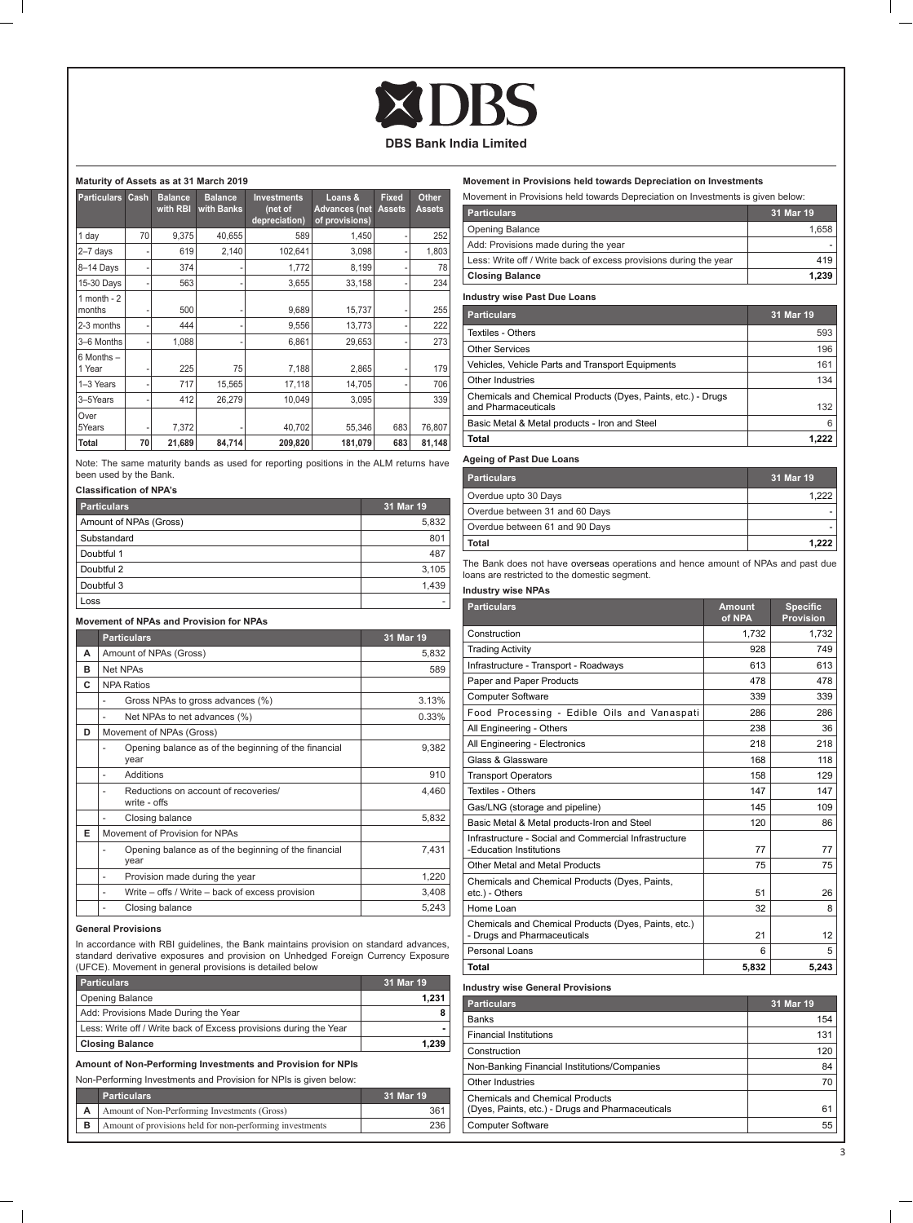#### **Maturity of Assets as at 31 March 2019**

| <b>Particulars</b>        | Cash | <b>Balance</b><br>with RBI | <b>Balance</b><br>with Banks | <b>Investments</b><br>(net of<br>depreciation) | Loans &<br><b>Advances (net)</b><br>of provisions) | <b>Fixed</b><br><b>Assets</b> | Other<br><b>Assets</b> |
|---------------------------|------|----------------------------|------------------------------|------------------------------------------------|----------------------------------------------------|-------------------------------|------------------------|
| 1 day                     | 70   | 9,375                      | 40,655                       | 589                                            | 1,450                                              |                               | 252                    |
| $2 - 7$ days              |      | 619                        | 2,140                        | 102,641                                        | 3,098                                              |                               | 1,803                  |
| 8-14 Days                 |      | 374                        |                              | 1,772                                          | 8,199                                              |                               | 78                     |
| 15-30 Days                | ٠    | 563                        |                              | 3,655                                          | 33,158                                             |                               | 234                    |
| $1$ month - $2$<br>months |      | 500                        |                              | 9,689                                          | 15,737                                             |                               | 255                    |
| 2-3 months                |      | 444                        |                              | 9,556                                          | 13,773                                             |                               | 222                    |
| 3-6 Months                |      | 1,088                      |                              | 6,861                                          | 29,653                                             |                               | 273                    |
| 6 Months -<br>1 Year      |      | 225                        | 75                           | 7,188                                          | 2,865                                              |                               | 179                    |
| 1-3 Years                 |      | 717                        | 15,565                       | 17,118                                         | 14,705                                             |                               | 706                    |
| 3-5Years                  |      | 412                        | 26,279                       | 10.049                                         | 3,095                                              |                               | 339                    |
| Over<br>5Years            |      | 7,372                      |                              | 40,702                                         | 55,346                                             | 683                           | 76,807                 |
| Total                     | 70   | 21,689                     | 84,714                       | 209,820                                        | 181,079                                            | 683                           | 81,148                 |

Note: The same maturity bands as used for reporting positions in the ALM returns have been used by the Bank.

### **Classification of NPA's**

| <b>Particulars</b>     | 31 Mar 19 |
|------------------------|-----------|
| Amount of NPAs (Gross) | 5,832     |
| Substandard            | 801       |
| Doubtful 1             | 487       |
| Doubtful 2             | 3.105     |
| Doubtful 3             | 1.439     |
| Loss                   |           |

#### **Movement of NPAs and Provision for NPAs**

|   | <b>Particulars</b>                                           | 31 Mar 19 |
|---|--------------------------------------------------------------|-----------|
| А | Amount of NPAs (Gross)                                       | 5,832     |
| R | Net NPAs                                                     | 589       |
| C | <b>NPA Ratios</b>                                            |           |
|   | Gross NPAs to gross advances (%)                             | 3.13%     |
|   | Net NPAs to net advances (%)                                 | 0.33%     |
| D | Movement of NPAs (Gross)                                     |           |
|   | Opening balance as of the beginning of the financial<br>year | 9,382     |
|   | Additions                                                    | 910       |
|   | Reductions on account of recoveries/<br>write - offs         | 4.460     |
|   | Closing balance                                              | 5,832     |
| F | Movement of Provision for NPAs                               |           |
|   | Opening balance as of the beginning of the financial<br>year | 7.431     |
|   | Provision made during the year                               | 1,220     |
|   | Write – offs / Write – back of excess provision              | 3,408     |
|   | Closing balance                                              | 5,243     |

#### **General Provisions**

 $\blacksquare$ 

In accordance with RBI guidelines, the Bank maintains provision on standard advances, standard derivative exposures and provision on Unhedged Foreign Currency Exposure (UFCE). Movement in general provisions is detailed below

| <b>Particulars</b>                                                | 31 Mar 19 |
|-------------------------------------------------------------------|-----------|
| Opening Balance                                                   | 1.231     |
| Add: Provisions Made During the Year                              |           |
| Less: Write off / Write back of Excess provisions during the Year |           |
| <b>Closing Balance</b>                                            | 1.239     |

**Amount of Non-Performing Investments and Provision for NPIs**

Non-Performing Investments and Provision for NPIs is given below:

|   | <b>Particulars</b>                                       | 31 Mar 19 |
|---|----------------------------------------------------------|-----------|
|   | Amount of Non-Performing Investments (Gross)             | 361       |
| в | Amount of provisions held for non-performing investments | 236       |

#### **Movement in Provisions held towards Depreciation on Investments**

| Movement in Provisions held towards Depreciation on Investments is given below:     |           |  |
|-------------------------------------------------------------------------------------|-----------|--|
| <b>Particulars</b>                                                                  | 31 Mar 19 |  |
| Opening Balance                                                                     | 1,658     |  |
| Add: Provisions made during the year                                                |           |  |
| Less: Write off / Write back of excess provisions during the year                   | 419       |  |
| <b>Closing Balance</b>                                                              | 1,239     |  |
| <b>Industry wise Past Due Loans</b>                                                 |           |  |
| <b>Particulars</b>                                                                  | 31 Mar 19 |  |
| Textiles - Others                                                                   | 593       |  |
| Other Services                                                                      | 196       |  |
| Vehicles, Vehicle Parts and Transport Equipments                                    | 161       |  |
| Other Industries                                                                    | 134       |  |
| Chemicals and Chemical Products (Dyes, Paints, etc.) - Drugs<br>and Pharmaceuticals | 132       |  |
| Basic Metal & Metal products - Iron and Steel                                       | 6         |  |
| Total                                                                               | 1,222     |  |

| <b>Particulars</b>             | 31 Mar 19 |
|--------------------------------|-----------|
| Overdue upto 30 Days           | 1.222     |
| Overdue between 31 and 60 Days |           |
| Overdue between 61 and 90 Days |           |
| Total                          | 1.222     |

The Bank does not have overseas operations and hence amount of NPAs and past due loans are restricted to the domestic segment.

### **Industry wise NPAs**

| <b>Particulars</b>                                                                         | <b>Amount</b><br>of NPA | <b>Specific</b><br><b>Provision</b> |
|--------------------------------------------------------------------------------------------|-------------------------|-------------------------------------|
| Construction                                                                               | 1,732                   | 1.732                               |
| <b>Trading Activity</b>                                                                    | 928                     | 749                                 |
| Infrastructure - Transport - Roadways                                                      | 613                     | 613                                 |
| Paper and Paper Products                                                                   | 478                     | 478                                 |
| <b>Computer Software</b>                                                                   | 339                     | 339                                 |
| Food Processing - Edible Oils and Vanaspati                                                | 286                     | 286                                 |
| All Engineering - Others                                                                   | 238                     | 36                                  |
| All Engineering - Electronics                                                              | 218                     | 218                                 |
| Glass & Glassware                                                                          | 168                     | 118                                 |
| <b>Transport Operators</b>                                                                 | 158                     | 129                                 |
| Textiles - Others                                                                          | 147                     | 147                                 |
| Gas/LNG (storage and pipeline)                                                             | 145                     | 109                                 |
| Basic Metal & Metal products-Iron and Steel                                                | 120                     | 86                                  |
| Infrastructure - Social and Commercial Infrastructure<br>-Education Institutions           | 77                      | 77                                  |
| Other Metal and Metal Products                                                             | 75                      | 75                                  |
| Chemicals and Chemical Products (Dyes, Paints,<br>etc.) - Others                           | 51                      | 26                                  |
| Home Loan                                                                                  | 32                      | 8                                   |
| Chemicals and Chemical Products (Dyes, Paints, etc.)<br>- Drugs and Pharmaceuticals        | 21                      | 12                                  |
| Personal Loans                                                                             | 6                       | 5                                   |
| Total                                                                                      | 5,832                   | 5,243                               |
| <b>Industry wise General Provisions</b>                                                    |                         |                                     |
| <b>Particulars</b>                                                                         |                         | 31 Mar 19                           |
| <b>Banks</b>                                                                               |                         | 154                                 |
| <b>Financial Institutions</b>                                                              |                         | 131                                 |
| Construction                                                                               |                         | 120                                 |
| Non-Banking Financial Institutions/Companies                                               |                         | 84                                  |
| Other Industries                                                                           |                         | 70                                  |
| <b>Chemicals and Chemical Products</b><br>(Dyes, Paints, etc.) - Drugs and Pharmaceuticals |                         | 61                                  |
| <b>Computer Software</b>                                                                   |                         | 55                                  |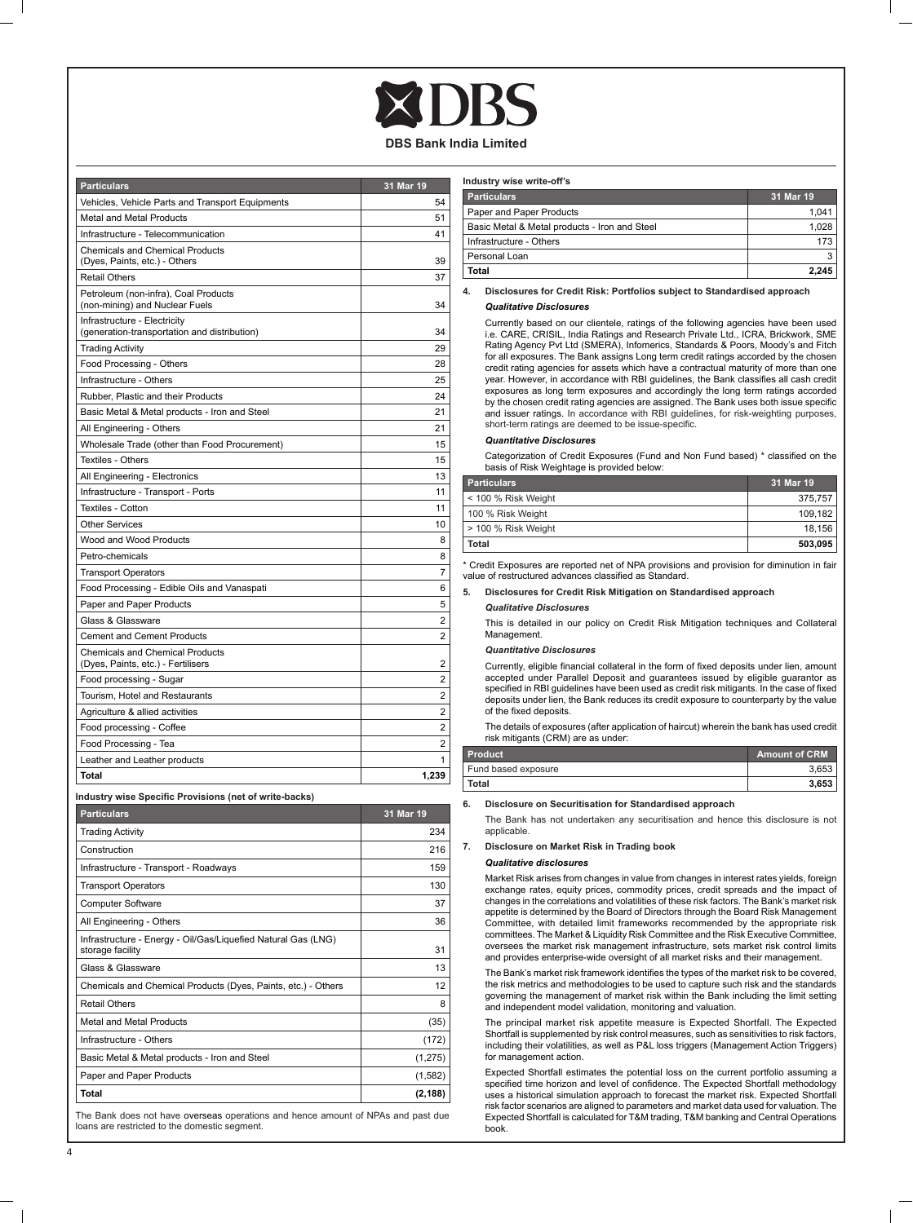| <b>Particulars</b>                                                           | 31 Mar 19      |
|------------------------------------------------------------------------------|----------------|
| Vehicles, Vehicle Parts and Transport Equipments                             | 54             |
| Metal and Metal Products                                                     | 51             |
| Infrastructure - Telecommunication                                           | 41             |
| <b>Chemicals and Chemical Products</b><br>(Dyes, Paints, etc.) - Others      | 39             |
| <b>Retail Others</b>                                                         | 37             |
| Petroleum (non-infra), Coal Products<br>(non-mining) and Nuclear Fuels       | 34             |
| Infrastructure - Electricity<br>(generation-transportation and distribution) | 34             |
| <b>Trading Activity</b>                                                      | 29             |
| Food Processing - Others                                                     | 28             |
| Infrastructure - Others                                                      | 25             |
| Rubber, Plastic and their Products                                           | 24             |
| Basic Metal & Metal products - Iron and Steel                                | 21             |
| All Engineering - Others                                                     | 21             |
| Wholesale Trade (other than Food Procurement)                                | 15             |
| Textiles - Others                                                            | 15             |
| All Engineering - Electronics                                                | 13             |
| Infrastructure - Transport - Ports                                           | 11             |
| Textiles - Cotton                                                            | 11             |
| <b>Other Services</b>                                                        | 10             |
| Wood and Wood Products                                                       | 8              |
| Petro-chemicals                                                              | 8              |
| <b>Transport Operators</b>                                                   | 7              |
| Food Processing - Edible Oils and Vanaspati                                  | 6              |
| Paper and Paper Products                                                     | 5              |
| Glass & Glassware                                                            | 2              |
| <b>Cement and Cement Products</b>                                            | 2              |
| <b>Chemicals and Chemical Products</b><br>(Dyes, Paints, etc.) - Fertilisers | 2              |
| Food processing - Sugar                                                      | $\overline{2}$ |
| Tourism, Hotel and Restaurants                                               | 2              |
| Agriculture & allied activities                                              | $\overline{2}$ |
| Food processing - Coffee                                                     | 2              |
| Food Processing - Tea                                                        | 2              |
| Leather and Leather products                                                 | 1              |
| <b>Total</b>                                                                 | 1,239          |

**Industry wise Specific Provisions (net of write-backs)**

| Particulars                                                                       | <b>31 Mar 19</b> |
|-----------------------------------------------------------------------------------|------------------|
| <b>Trading Activity</b>                                                           | 234              |
| Construction                                                                      | 216              |
| Infrastructure - Transport - Roadways                                             | 159              |
| <b>Transport Operators</b>                                                        | 130              |
| <b>Computer Software</b>                                                          | 37               |
| All Engineering - Others                                                          | 36               |
| Infrastructure - Energy - Oil/Gas/Liguefied Natural Gas (LNG)<br>storage facility | 31               |
| Glass & Glassware                                                                 | 13               |
| Chemicals and Chemical Products (Dyes, Paints, etc.) - Others                     | 12               |
| <b>Retail Others</b>                                                              | 8                |
| Metal and Metal Products                                                          | (35)             |
| Infrastructure - Others                                                           | (172)            |
| Basic Metal & Metal products - Iron and Steel                                     | (1, 275)         |
| Paper and Paper Products                                                          | (1,582)          |
| Total                                                                             | (2, 188)         |

The Bank does not have overseas operations and hence amount of NPAs and past due loans are restricted to the domestic segment.

| Industry wise write-off's                     |           |  |
|-----------------------------------------------|-----------|--|
| <b>Particulars</b>                            | 31 Mar 19 |  |
| Paper and Paper Products                      | 1.041     |  |
| Basic Metal & Metal products - Iron and Steel | 1.028     |  |
| Infrastructure - Others                       | 173       |  |
| Personal Loan                                 | 3         |  |
| <b>Total</b>                                  | 2.245     |  |

**4. Disclosures for Credit Risk: Portfolios subject to Standardised approach**

#### *Qualitative Disclosures*

Currently based on our clientele, ratings of the following agencies have been used i.e. CARE, CRISIL, India Ratings and Research Private Ltd., ICRA, Brickwork, SME Rating Agency Pvt Ltd (SMERA), Infomerics, Standards & Poors, Moody's and Fitch for all exposures. The Bank assigns Long term credit ratings accorded by the chosen credit rating agencies for assets which have a contractual maturity of more than one year. However, in accordance with RBI guidelines, the Bank classifies all cash credit exposures as long term exposures and accordingly the long term ratings accorded by the chosen credit rating agencies are assigned. The Bank uses both issue specific and issuer ratings. In accordance with RBI guidelines, for risk-weighting purposes, short-term ratings are deemed to be issue-specific.

#### *Quantitative Disclosures*

 Categorization of Credit Exposures (Fund and Non Fund based) \* classified on the basis of Risk Weightage is provided below:

| <b>Particulars</b>  | 31 Mar 19 |
|---------------------|-----------|
| < 100 % Risk Weight | 375.757   |
| 100 % Risk Weight   | 109.182   |
| > 100 % Risk Weight | 18.156    |
| Total               | 503.095   |

\* Credit Exposures are reported net of NPA provisions and provision for diminution in fair value of restructured advances classified as Standard.

#### **5. Disclosures for Credit Risk Mitigation on Standardised approach** *Qualitative Disclosures*

This is detailed in our policy on Credit Risk Mitigation techniques and Collateral **Management** 

#### *Quantitative Disclosures*

 Currently, eligible financial collateral in the form of fixed deposits under lien, amount accepted under Parallel Deposit and guarantees issued by eligible guarantor as specified in RBI guidelines have been used as credit risk mitigants. In the case of fixed deposits under lien, the Bank reduces its credit exposure to counterparty by the value of the fixed deposits.

The details of exposures (after application of haircut) wherein the bank has used credit risk mitigants (CRM) are as under:

| <b>Product</b>      | Amount of CRM |
|---------------------|---------------|
| Fund based exposure | 3.653         |
| <b>Total</b>        | 3.653         |

#### **6. Disclosure on Securitisation for Standardised approach**

The Bank has not undertaken any securitisation and hence this disclosure is not applicable.

## **7. Disclosure on Market Risk in Trading book**

#### *Qualitative disclosures*

Market Risk arises from changes in value from changes in interest rates yields, foreign exchange rates, equity prices, commodity prices, credit spreads and the impact of changes in the correlations and volatilities of these risk factors. The Bank's market risk appetite is determined by the Board of Directors through the Board Risk Management Committee, with detailed limit frameworks recommended by the appropriate risk committees. The Market & Liquidity Risk Committee and the Risk Executive Committee, oversees the market risk management infrastructure, sets market risk control limits and provides enterprise-wide oversight of all market risks and their management.

 The Bank's market risk framework identifies the types of the market risk to be covered, the risk metrics and methodologies to be used to capture such risk and the standards governing the management of market risk within the Bank including the limit setting and independent model validation, monitoring and valuation.

The principal market risk appetite measure is Expected Shortfall. The Expected Shortfall is supplemented by risk control measures, such as sensitivities to risk factors, including their volatilities, as well as P&L loss triggers (Management Action Triggers) for management action.

Expected Shortfall estimates the potential loss on the current portfolio assuming a specified time horizon and level of confidence. The Expected Shortfall methodology uses a historical simulation approach to forecast the market risk. Expected Shortfall risk factor scenarios are aligned to parameters and market data used for valuation. The Expected Shortfall is calculated for T&M trading, T&M banking and Central Operations book.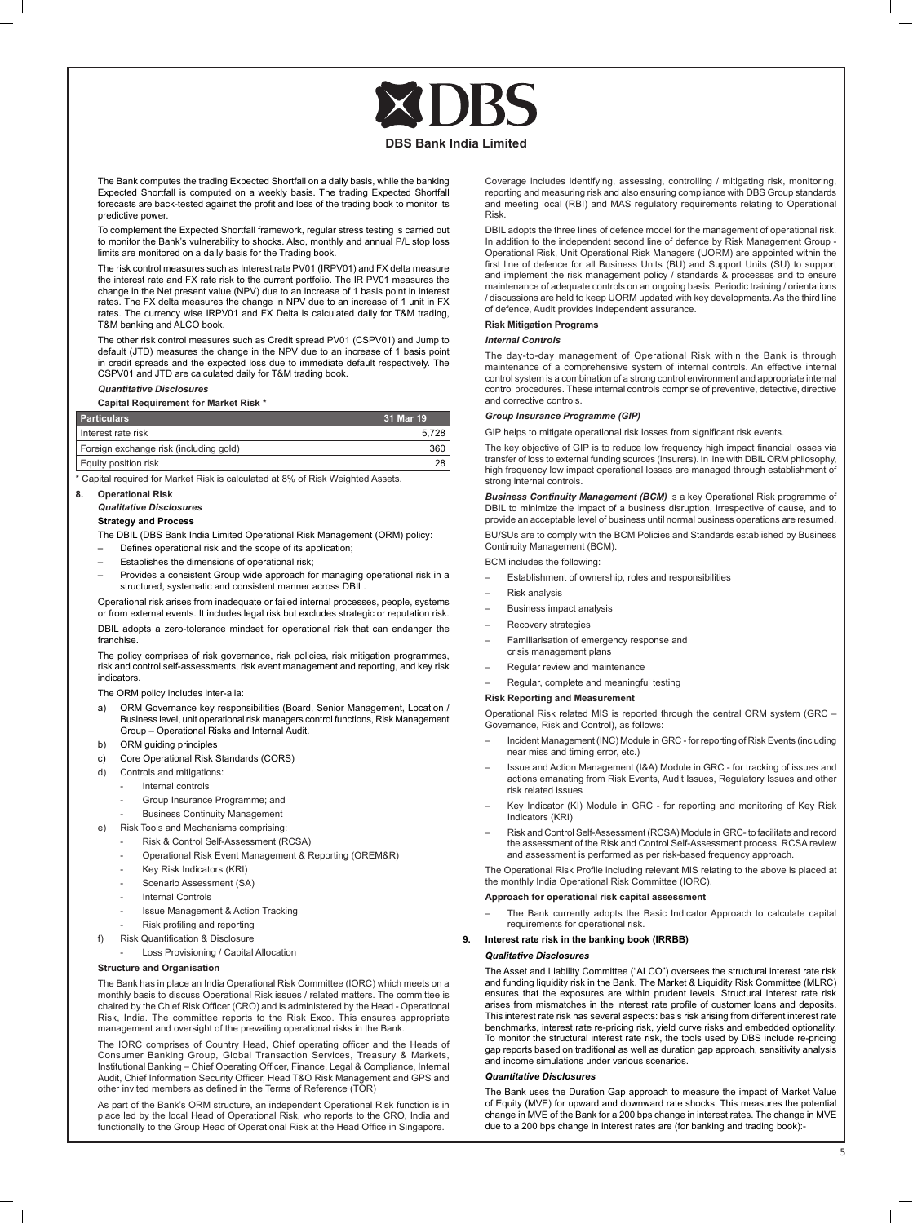The Bank computes the trading Expected Shortfall on a daily basis, while the banking Expected Shortfall is computed on a weekly basis. The trading Expected Shortfall forecasts are back-tested against the profit and loss of the trading book to monitor its predictive power.

To complement the Expected Shortfall framework, regular stress testing is carried out to monitor the Bank's vulnerability to shocks. Also, monthly and annual P/L stop loss limits are monitored on a daily basis for the Trading book.

The risk control measures such as Interest rate PV01 (IRPV01) and FX delta measure the interest rate and FX rate risk to the current portfolio. The IR PV01 measures the change in the Net present value (NPV) due to an increase of 1 basis point in interest rates. The FX delta measures the change in NPV due to an increase of 1 unit in FX rates. The currency wise IRPV01 and FX Delta is calculated daily for T&M trading, T&M banking and ALCO book.

The other risk control measures such as Credit spread PV01 (CSPV01) and Jump to default (JTD) measures the change in the NPV due to an increase of 1 basis point in credit spreads and the expected loss due to immediate default respectively. The CSPV01 and JTD are calculated daily for T&M trading book.

#### *Quantitative Disclosures*

**Capital Requirement for Market Risk \***

| <b>Particulars</b>                     | 31 Mar 19 |
|----------------------------------------|-----------|
| Interest rate risk                     | 5.728     |
| Foreign exchange risk (including gold) | 360       |
| <b>Equity position risk</b>            | 28        |

Capital required for Market Risk is calculated at 8% of Risk Weighted Assets.

#### **8. Operational Risk**

## *Qualitative Disclosures*

#### **Strategy and Process**

The DBIL (DBS Bank India Limited Operational Risk Management (ORM) policy:

- Defines operational risk and the scope of its application;
- Establishes the dimensions of operational risk;
- Provides a consistent Group wide approach for managing operational risk in a structured, systematic and consistent manner across DBIL

Operational risk arises from inadequate or failed internal processes, people, systems or from external events. It includes legal risk but excludes strategic or reputation risk. DBIL adopts a zero-tolerance mindset for operational risk that can endanger the franchise.

The policy comprises of risk governance, risk policies, risk mitigation programmes, risk and control self-assessments, risk event management and reporting, and key risk indicators.

The ORM policy includes inter-alia:

- ORM Governance key responsibilities (Board, Senior Management, Location / Business level, unit operational risk managers control functions, Risk Management Group – Operational Risks and Internal Audit.
- b) ORM guiding principles
- c) Core Operational Risk Standards (CORS)
- d) Controls and mitigations:
	- Internal controls
	- Group Insurance Programme: and
	- Business Continuity Management
- e) Risk Tools and Mechanisms comprising:
	- Risk & Control Self-Assessment (RCSA)
	- Operational Risk Event Management & Reporting (OREM&R)
	- Key Risk Indicators (KRI)
	- Scenario Assessment (SA)
	- Internal Controls
	- Issue Management & Action Tracking
	- Risk profiling and reporting
- f) Risk Quantification & Disclosure
	- Loss Provisioning / Capital Allocation

#### **Structure and Organisation**

The Bank has in place an India Operational Risk Committee (IORC) which meets on a monthly basis to discuss Operational Risk issues / related matters. The committee is chaired by the Chief Risk Officer (CRO) and is administered by the Head - Operational Risk, India. The committee reports to the Risk Exco. This ensures appropriate management and oversight of the prevailing operational risks in the Bank.

 The IORC comprises of Country Head, Chief operating officer and the Heads of Consumer Banking Group, Global Transaction Services, Treasury & Markets, Institutional Banking – Chief Operating Officer, Finance, Legal & Compliance, Internal Audit, Chief Information Security Officer, Head T&O Risk Management and GPS and other invited members as defined in the Terms of Reference (TOR)

As part of the Bank's ORM structure, an independent Operational Risk function is in place led by the local Head of Operational Risk, who reports to the CRO, India and functionally to the Group Head of Operational Risk at the Head Office in Singapore.  Coverage includes identifying, assessing, controlling / mitigating risk, monitoring, reporting and measuring risk and also ensuring compliance with DBS Group standards and meeting local (RBI) and MAS regulatory requirements relating to Operational Risk.

DBIL adopts the three lines of defence model for the management of operational risk. In addition to the independent second line of defence by Risk Management Group Operational Risk, Unit Operational Risk Managers (UORM) are appointed within the first line of defence for all Business Units (BU) and Support Units (SU) to support and implement the risk management policy / standards & processes and to ensure maintenance of adequate controls on an ongoing basis. Periodic training / orientations / discussions are held to keep UORM updated with key developments.As the third line of defence, Audit provides independent assurance.

### **Risk Mitigation Programs**

#### *Internal Controls*

The day-to-day management of Operational Risk within the Bank is through maintenance of a comprehensive system of internal controls. An effective internal control system is a combination of a strong control environment and appropriate internal control procedures. These internal controls comprise of preventive, detective, directive and corrective controls.

#### *Group Insurance Programme (GIP)*

GIP helps to mitigate operational risk losses from significant risk events.

 The key objective of GIP is to reduce low frequency high impact financial losses via transfer of loss to external funding sources (insurers). In line with DBIL ORM philosophy, high frequency low impact operational losses are managed through establishment of strong internal controls.

 *Business Continuity Management (BCM)* is a key Operational Risk programme of DBIL to minimize the impact of a business disruption, irrespective of cause, and to provide an acceptable level of business until normal business operations are resumed. BU/SUs are to comply with the BCM Policies and Standards established by Business Continuity Management (BCM).

BCM includes the following:

- Establishment of ownership, roles and responsibilities
- Risk analysis
- Business impact analysis
- Recovery strategies
- Familiarisation of emergency response and crisis management plans
- Regular review and maintenance
- Regular, complete and meaningful testing

#### **Risk Reporting and Measurement**

Operational Risk related MIS is reported through the central ORM system (GRC – Governance, Risk and Control), as follows:

- Incident Management (INC) Module in GRC for reporting of Risk Events (including near miss and timing error, etc.)
- Issue and Action Management (I&A) Module in GRC for tracking of issues and actions emanating from Risk Events, Audit Issues, Regulatory Issues and other risk related issues
- Key Indicator (KI) Module in GRC for reporting and monitoring of Key Risk Indicators (KRI)
- Risk and Control Self-Assessment (RCSA) Module in GRC- to facilitate and record the assessment of the Risk and Control Self-Assessment process. RCSA review and assessment is performed as per risk-based frequency approach.

 The Operational Risk Profile including relevant MIS relating to the above is placed at the monthly India Operational Risk Committee (IORC).

#### **Approach for operational risk capital assessment**

The Bank currently adopts the Basic Indicator Approach to calculate capital requirements for operational risk.

#### **9. Interest rate risk in the banking book (IRRBB)**

#### *Qualitative Disclosures*

The Asset and Liability Committee ("ALCO") oversees the structural interest rate risk and funding liquidity risk in the Bank. The Market & Liquidity Risk Committee (MLRC) ensures that the exposures are within prudent levels. Structural interest rate risk arises from mismatches in the interest rate profile of customer loans and deposits. This interest rate risk has several aspects: basis risk arising from different interest rate benchmarks, interest rate re-pricing risk, yield curve risks and embedded optionality. To monitor the structural interest rate risk, the tools used by DBS include re-pricing gap reports based on traditional as well as duration gap approach, sensitivity analysis and income simulations under various scenarios.

#### *Quantitative Disclosures*

The Bank uses the Duration Gap approach to measure the impact of Market Value of Equity (MVE) for upward and downward rate shocks. This measures the potential change in MVE of the Bank for a 200 bps change in interest rates. The change in MVE due to a 200 bps change in interest rates are (for banking and trading book):-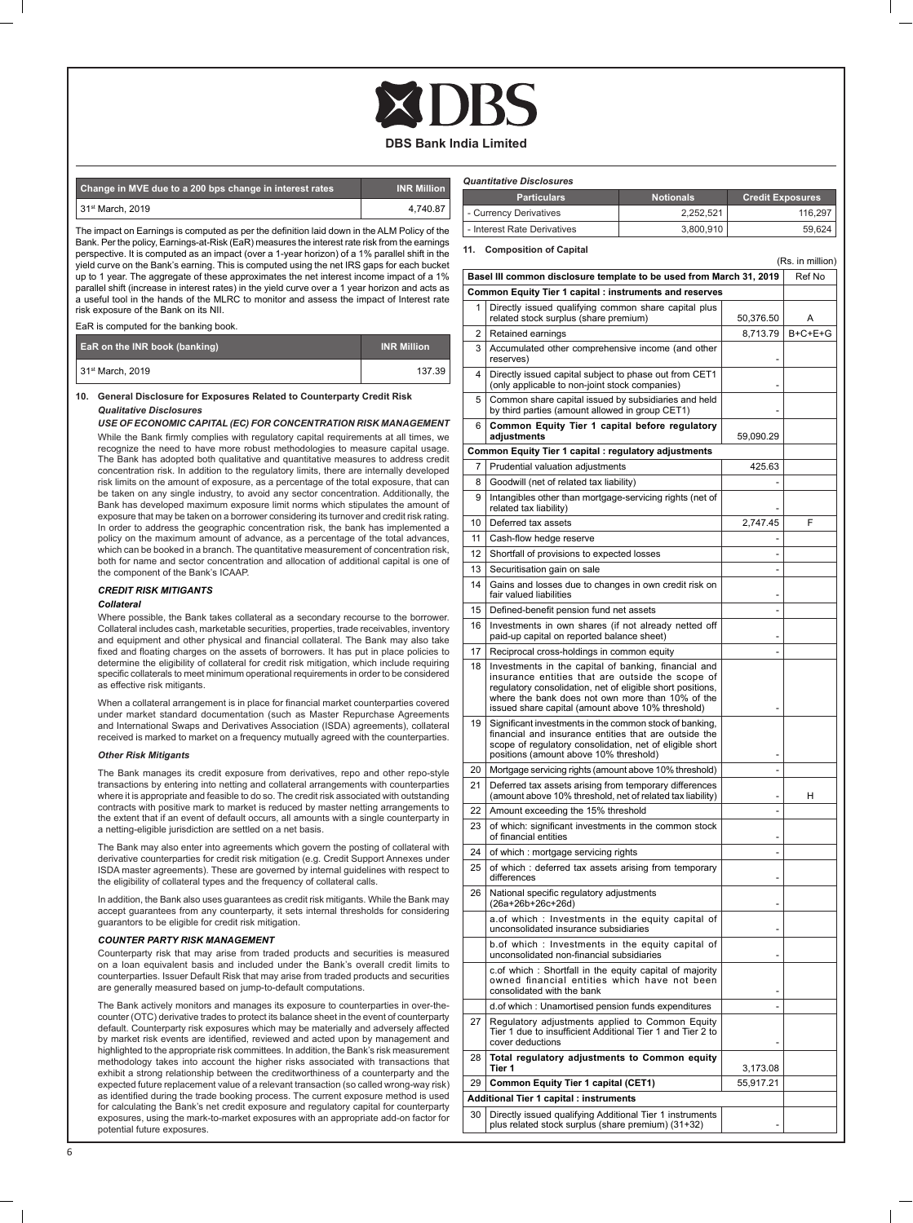*Quantitative Disclosures*

| Change in MVE due to a 200 bps change in interest rates | <b>INR Million</b> |
|---------------------------------------------------------|--------------------|
| l 31st March, 2019                                      | 4.740.87           |

The impact on Earnings is computed as per the definition laid down in the ALM Policy of the Bank. Per the policy, Earnings-at-Risk (EaR) measures the interest rate risk from the earnings perspective. It is computed as an impact (over a 1-year horizon) of a 1% parallel shift in the yield curve on the Bank's earning. This is computed using the net IRS gaps for each bucket up to 1 year. The aggregate of these approximates the net interest income impact of a 1% parallel shift (increase in interest rates) in the yield curve over a 1 year horizon and acts as a useful tool in the hands of the MLRC to monitor and assess the impact of Interest rate risk exposure of the Bank on its NII.

EaR is computed for the banking book.

| <b>EaR on the INR book (banking)</b> | <b>INR Million</b> |
|--------------------------------------|--------------------|
| 31 <sup>st</sup> March, 2019         | 137.39             |

#### **10. General Disclosure for Exposures Related to Counterparty Credit Risk** *Qualitative Disclosures*

 *USE OF ECONOMIC CAPITAL (EC) FOR CONCENTRATION RISK MANAGEMENT* While the Bank firmly complies with regulatory capital requirements at all times, we recognize the need to have more robust methodologies to measure capital usage. The Bank has adopted both qualitative and quantitative measures to address credit concentration risk. In addition to the regulatory limits, there are internally developed risk limits on the amount of exposure, as a percentage of the total exposure, that can be taken on any single industry, to avoid any sector concentration. Additionally, the Bank has developed maximum exposure limit norms which stipulates the amount of exposure that may be taken on a borrower considering its turnover and credit risk rating. In order to address the geographic concentration risk, the bank has implemented a policy on the maximum amount of advance, as a percentage of the total advances, which can be booked in a branch. The quantitative measurement of concentration risk, both for name and sector concentration and allocation of additional capital is one of the component of the Bank's ICAAP.

#### *CREDIT RISK MITIGANTS*

#### *Collateral*

Where possible, the Bank takes collateral as a secondary recourse to the borrower. Collateral includes cash, marketable securities, properties, trade receivables, inventory and equipment and other physical and financial collateral. The Bank may also take fixed and floating charges on the assets of borrowers. It has put in place policies to determine the eligibility of collateral for credit risk mitigation, which include requiring specific collaterals to meet minimum operational requirements in order to be considered as effective risk mitigants.

 When a collateral arrangement is in place for financial market counterparties covered under market standard documentation (such as Master Repurchase Agreements and International Swaps and Derivatives Association (ISDA) agreements), collateral received is marked to market on a frequency mutually agreed with the counterparties.

#### *Other Risk Mitigants*

The Bank manages its credit exposure from derivatives, repo and other repo-style transactions by entering into netting and collateral arrangements with counterparties where it is appropriate and feasible to do so. The credit risk associated with outstanding contracts with positive mark to market is reduced by master netting arrangements to the extent that if an event of default occurs, all amounts with a single counterparty in a netting-eligible jurisdiction are settled on a net basis.

The Bank may also enter into agreements which govern the posting of collateral with derivative counterparties for credit risk mitigation (e.g. Credit Support Annexes under ISDA master agreements). These are governed by internal guidelines with respect to the eligibility of collateral types and the frequency of collateral calls.

In addition, the Bank also uses guarantees as credit risk mitigants. While the Bank may accept guarantees from any counterparty, it sets internal thresholds for considering guarantors to be eligible for credit risk mitigation.

#### *COUNTER PARTY RISK MANAGEMENT*

Counterparty risk that may arise from traded products and securities is measured on a loan equivalent basis and included under the Bank's overall credit limits to counterparties. Issuer Default Risk that may arise from traded products and securities are generally measured based on jump-to-default computations.

The Bank actively monitors and manages its exposure to counterparties in over-thecounter (OTC) derivative trades to protect its balance sheet in the event of counterparty default. Counterparty risk exposures which may be materially and adversely affected by market risk events are identified, reviewed and acted upon by management and highlighted to the appropriate risk committees. In addition, the Bank's risk measurement methodology takes into account the higher risks associated with transactions that exhibit a strong relationship between the creditworthiness of a counterparty and the expected future replacement value of a relevant transaction (so called wrong-way risk) as identified during the trade booking process. The current exposure method is used for calculating the Bank's net credit exposure and regulatory capital for counterparty exposures, using the mark-to-market exposures with an appropriate add-on factor for potential future exposures.

|          | - Currency Derivatives                                                                                                                                                                                                                                                          | 2,252,521<br>116,297 |           |           |  |  |  |
|----------|---------------------------------------------------------------------------------------------------------------------------------------------------------------------------------------------------------------------------------------------------------------------------------|----------------------|-----------|-----------|--|--|--|
|          | - Interest Rate Derivatives                                                                                                                                                                                                                                                     | 3,800,910            | 59,624    |           |  |  |  |
| 11.      | <b>Composition of Capital</b><br>(Rs. in million)                                                                                                                                                                                                                               |                      |           |           |  |  |  |
|          | Basel III common disclosure template to be used from March 31, 2019<br>Ref No                                                                                                                                                                                                   |                      |           |           |  |  |  |
|          | Common Equity Tier 1 capital : instruments and reserves                                                                                                                                                                                                                         |                      |           |           |  |  |  |
| 1        | Directly issued qualifying common share capital plus<br>related stock surplus (share premium)                                                                                                                                                                                   |                      | 50,376.50 | Α         |  |  |  |
| 2        | Retained earnings                                                                                                                                                                                                                                                               |                      | 8,713.79  | $B+C+E+G$ |  |  |  |
| 3        | Accumulated other comprehensive income (and other<br>reserves)                                                                                                                                                                                                                  |                      |           |           |  |  |  |
| 4        | Directly issued capital subject to phase out from CET1<br>(only applicable to non-joint stock companies)                                                                                                                                                                        |                      |           |           |  |  |  |
| 5        | Common share capital issued by subsidiaries and held<br>by third parties (amount allowed in group CET1)                                                                                                                                                                         |                      |           |           |  |  |  |
| 6        | Common Equity Tier 1 capital before regulatory<br>adjustments                                                                                                                                                                                                                   |                      | 59,090.29 |           |  |  |  |
|          | Common Equity Tier 1 capital : regulatory adjustments                                                                                                                                                                                                                           |                      |           |           |  |  |  |
| 7        | Prudential valuation adjustments                                                                                                                                                                                                                                                |                      | 425.63    |           |  |  |  |
| 8        | Goodwill (net of related tax liability)                                                                                                                                                                                                                                         |                      |           |           |  |  |  |
| 9        | Intangibles other than mortgage-servicing rights (net of<br>related tax liability)                                                                                                                                                                                              |                      |           |           |  |  |  |
| 10       | Deferred tax assets                                                                                                                                                                                                                                                             |                      | 2,747.45  | F         |  |  |  |
| 11       | Cash-flow hedge reserve                                                                                                                                                                                                                                                         |                      |           |           |  |  |  |
| 12       | Shortfall of provisions to expected losses<br>Securitisation gain on sale                                                                                                                                                                                                       |                      | L,        |           |  |  |  |
| 13<br>14 | Gains and losses due to changes in own credit risk on                                                                                                                                                                                                                           |                      |           |           |  |  |  |
| 15       | fair valued liabilities<br>Defined-benefit pension fund net assets                                                                                                                                                                                                              |                      |           |           |  |  |  |
| 16       | Investments in own shares (if not already netted off                                                                                                                                                                                                                            |                      |           |           |  |  |  |
| 17       | paid-up capital on reported balance sheet)<br>Reciprocal cross-holdings in common equity                                                                                                                                                                                        |                      |           |           |  |  |  |
| 18       |                                                                                                                                                                                                                                                                                 |                      |           |           |  |  |  |
|          | Investments in the capital of banking, financial and<br>insurance entities that are outside the scope of<br>regulatory consolidation, net of eligible short positions,<br>where the bank does not own more than 10% of the<br>issued share capital (amount above 10% threshold) |                      |           |           |  |  |  |
| 19       | Significant investments in the common stock of banking,<br>financial and insurance entities that are outside the<br>scope of regulatory consolidation, net of eligible short<br>positions (amount above 10% threshold)                                                          |                      |           |           |  |  |  |
| 20       | Mortgage servicing rights (amount above 10% threshold)                                                                                                                                                                                                                          |                      | L,        |           |  |  |  |
| 21       | Deferred tax assets arising from temporary differences<br>(amount above 10% threshold, net of related tax liability)                                                                                                                                                            |                      |           | н         |  |  |  |
| 22       | Amount exceeding the 15% threshold                                                                                                                                                                                                                                              |                      | ä,        |           |  |  |  |
| 23       | of which: significant investments in the common stock<br>of financial entities                                                                                                                                                                                                  |                      |           |           |  |  |  |
| 24       | of which: mortgage servicing rights                                                                                                                                                                                                                                             |                      |           |           |  |  |  |
| 25       | of which: deferred tax assets arising from temporary<br>differences                                                                                                                                                                                                             |                      |           |           |  |  |  |
| 26       | National specific regulatory adjustments<br>(26a+26b+26c+26d)                                                                                                                                                                                                                   |                      |           |           |  |  |  |
|          | a.of which: Investments in the equity capital of<br>unconsolidated insurance subsidiaries                                                                                                                                                                                       |                      |           |           |  |  |  |
|          | b.of which: Investments in the equity capital of<br>unconsolidated non-financial subsidiaries                                                                                                                                                                                   |                      |           |           |  |  |  |
|          | c.of which: Shortfall in the equity capital of majority<br>owned financial entities which have not been<br>consolidated with the bank                                                                                                                                           |                      |           |           |  |  |  |
|          | d.of which: Unamortised pension funds expenditures                                                                                                                                                                                                                              |                      | ä,        |           |  |  |  |
| 27       | Regulatory adjustments applied to Common Equity<br>Tier 1 due to insufficient Additional Tier 1 and Tier 2 to<br>cover deductions                                                                                                                                               |                      |           |           |  |  |  |
| 28       | Total regulatory adjustments to Common equity<br>Tier 1                                                                                                                                                                                                                         |                      | 3,173.08  |           |  |  |  |
| 29       | Common Equity Tier 1 capital (CET1)                                                                                                                                                                                                                                             |                      | 55,917.21 |           |  |  |  |
|          | Additional Tier 1 capital : instruments                                                                                                                                                                                                                                         |                      |           |           |  |  |  |
| 30 l     | Directly issued qualifying Additional Tier 1 instruments                                                                                                                                                                                                                        |                      |           |           |  |  |  |

**Particulars Notionals Credit Exposures** 

30 Directly issued qualifying Additional Tier 1 instruments plus related stock surplus (share premium) (31+32) -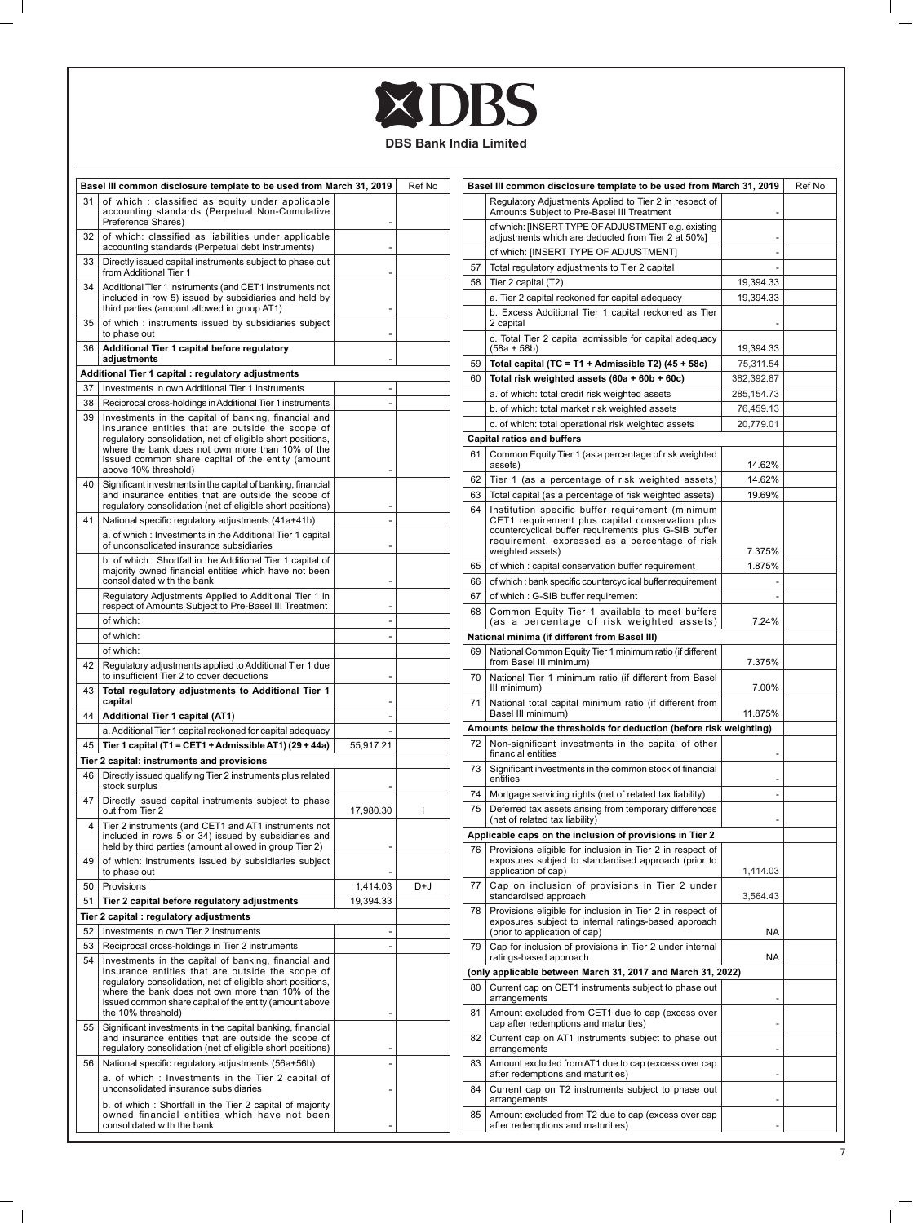## XDBS

 $\mathbb{R}$ 

 $=$   $\overline{1}$ 

**DBS Bank India Limited**

|    | Basel III common disclosure template to be used from March 31, 2019<br>Ref No                                                          |           | Basel III common disclosure template to be used from March 31, 2019 |    |                                                                                                                   | Ref No          |  |
|----|----------------------------------------------------------------------------------------------------------------------------------------|-----------|---------------------------------------------------------------------|----|-------------------------------------------------------------------------------------------------------------------|-----------------|--|
| 31 | of which: classified as equity under applicable<br>accounting standards (Perpetual Non-Cumulative<br>Preference Shares)                |           |                                                                     |    | Regulatory Adjustments Applied to Tier 2 in respect of<br>Amounts Subject to Pre-Basel III Treatment              |                 |  |
| 32 | of which: classified as liabilities under applicable<br>accounting standards (Perpetual debt Instruments)                              |           |                                                                     |    | of which: [INSERT TYPE OF ADJUSTMENT e.g. existing<br>adjustments which are deducted from Tier 2 at 50%]          |                 |  |
| 33 | Directly issued capital instruments subject to phase out<br>from Additional Tier 1                                                     |           |                                                                     | 57 | of which: [INSERT TYPE OF ADJUSTMENT]<br>Total regulatory adjustments to Tier 2 capital                           |                 |  |
| 34 | Additional Tier 1 instruments (and CET1 instruments not                                                                                |           |                                                                     | 58 | Tier 2 capital (T2)                                                                                               | 19,394.33       |  |
|    | included in row 5) issued by subsidiaries and held by                                                                                  |           |                                                                     |    | a. Tier 2 capital reckoned for capital adequacy                                                                   | 19,394.33       |  |
| 35 | third parties (amount allowed in group AT1)<br>of which: instruments issued by subsidiaries subject                                    |           |                                                                     |    | b. Excess Additional Tier 1 capital reckoned as Tier<br>2 capital                                                 |                 |  |
| 36 | to phase out<br>Additional Tier 1 capital before regulatory                                                                            |           |                                                                     |    | c. Total Tier 2 capital admissible for capital adequacy<br>$(58a + 58b)$                                          | 19,394.33       |  |
|    | adjustments                                                                                                                            |           |                                                                     | 59 | Total capital (TC = T1 + Admissible T2) (45 + 58c)                                                                | 75,311.54       |  |
|    | Additional Tier 1 capital : regulatory adjustments                                                                                     |           |                                                                     | 60 | Total risk weighted assets (60a + 60b + 60c)                                                                      | 382,392.87      |  |
| 37 | Investments in own Additional Tier 1 instruments                                                                                       |           |                                                                     |    | a. of which: total credit risk weighted assets                                                                    | 285, 154. 73    |  |
| 38 | Reciprocal cross-holdings in Additional Tier 1 instruments                                                                             |           |                                                                     |    | b. of which: total market risk weighted assets                                                                    | 76,459.13       |  |
| 39 | Investments in the capital of banking, financial and<br>insurance entities that are outside the scope of                               |           |                                                                     |    | c. of which: total operational risk weighted assets                                                               | 20,779.01       |  |
|    | regulatory consolidation, net of eligible short positions,                                                                             |           |                                                                     |    | <b>Capital ratios and buffers</b>                                                                                 |                 |  |
|    | where the bank does not own more than 10% of the                                                                                       |           |                                                                     | 61 | Common Equity Tier 1 (as a percentage of risk weighted                                                            |                 |  |
|    | issued common share capital of the entity (amount<br>above 10% threshold)                                                              |           |                                                                     |    | assets)                                                                                                           | 14.62%          |  |
| 40 | Significant investments in the capital of banking, financial                                                                           |           |                                                                     | 62 | Tier 1 (as a percentage of risk weighted assets)                                                                  | 14.62%          |  |
|    | and insurance entities that are outside the scope of                                                                                   |           |                                                                     | 63 | Total capital (as a percentage of risk weighted assets)                                                           | 19.69%          |  |
|    | regulatory consolidation (net of eligible short positions)                                                                             |           |                                                                     | 64 | Institution specific buffer requirement (minimum                                                                  |                 |  |
| 41 | National specific regulatory adjustments (41a+41b)                                                                                     |           |                                                                     |    | CET1 requirement plus capital conservation plus<br>countercyclical buffer requirements plus G-SIB buffer          |                 |  |
|    | a. of which: Investments in the Additional Tier 1 capital                                                                              |           |                                                                     |    | requirement, expressed as a percentage of risk                                                                    |                 |  |
|    | of unconsolidated insurance subsidiaries                                                                                               |           |                                                                     |    | weighted assets)                                                                                                  | 7.375%          |  |
|    | b. of which: Shortfall in the Additional Tier 1 capital of<br>majority owned financial entities which have not been                    |           |                                                                     | 65 | of which: capital conservation buffer requirement                                                                 | 1.875%          |  |
|    | consolidated with the bank                                                                                                             |           |                                                                     | 66 | of which: bank specific countercyclical buffer requirement                                                        |                 |  |
|    | Regulatory Adjustments Applied to Additional Tier 1 in                                                                                 |           |                                                                     | 67 | of which: G-SIB buffer requirement                                                                                |                 |  |
|    | respect of Amounts Subject to Pre-Basel III Treatment                                                                                  |           |                                                                     | 68 | Common Equity Tier 1 available to meet buffers                                                                    |                 |  |
|    | of which:                                                                                                                              |           |                                                                     |    | (as a percentage of risk weighted assets)                                                                         | 7.24%           |  |
|    | of which:                                                                                                                              |           |                                                                     |    | National minima (if different from Basel III)                                                                     |                 |  |
|    | of which:                                                                                                                              |           |                                                                     | 69 | National Common Equity Tier 1 minimum ratio (if different                                                         |                 |  |
| 42 | Regulatory adjustments applied to Additional Tier 1 due<br>to insufficient Tier 2 to cover deductions                                  |           |                                                                     | 70 | from Basel III minimum)<br>National Tier 1 minimum ratio (if different from Basel<br>III minimum)                 | 7.375%<br>7.00% |  |
| 43 | Total regulatory adjustments to Additional Tier 1<br>capital                                                                           |           |                                                                     | 71 | National total capital minimum ratio (if different from                                                           |                 |  |
| 44 | Additional Tier 1 capital (AT1)                                                                                                        |           |                                                                     |    | Basel III minimum)                                                                                                | 11.875%         |  |
|    | a. Additional Tier 1 capital reckoned for capital adequacy                                                                             |           |                                                                     |    | Amounts below the thresholds for deduction (before risk weighting)                                                |                 |  |
| 45 | Tier 1 capital (T1 = CET1 + Admissible AT1) (29 + 44a)                                                                                 | 55,917.21 |                                                                     | 72 | Non-significant investments in the capital of other                                                               |                 |  |
|    | Tier 2 capital: instruments and provisions                                                                                             |           |                                                                     |    | financial entities                                                                                                |                 |  |
| 46 | Directly issued qualifying Tier 2 instruments plus related<br>stock surplus                                                            |           |                                                                     | 73 | Significant investments in the common stock of financial<br>entities                                              |                 |  |
| 47 | Directly issued capital instruments subject to phase                                                                                   |           |                                                                     | 74 | Mortgage servicing rights (net of related tax liability)                                                          |                 |  |
|    | out from Tier 2                                                                                                                        | 17,980.30 | 1                                                                   | 75 | Deferred tax assets arising from temporary differences<br>(net of related tax liability)                          |                 |  |
| 4  | Tier 2 instruments (and CET1 and AT1 instruments not<br>included in rows 5 or 34) issued by subsidiaries and                           |           |                                                                     |    | Applicable caps on the inclusion of provisions in Tier 2                                                          |                 |  |
|    | held by third parties (amount allowed in group Tier 2)                                                                                 |           |                                                                     | 76 | Provisions eligible for inclusion in Tier 2 in respect of                                                         |                 |  |
| 49 | of which: instruments issued by subsidiaries subject<br>to phase out                                                                   |           |                                                                     |    | exposures subject to standardised approach (prior to<br>application of cap)                                       | 1,414.03        |  |
| 50 | Provisions                                                                                                                             | 1,414.03  | D+J                                                                 | 77 | Cap on inclusion of provisions in Tier 2 under                                                                    |                 |  |
| 51 | Tier 2 capital before regulatory adjustments                                                                                           | 19,394.33 |                                                                     |    | standardised approach                                                                                             | 3.564.43        |  |
|    | Tier 2 capital : regulatory adjustments                                                                                                |           |                                                                     | 78 | Provisions eligible for inclusion in Tier 2 in respect of<br>exposures subject to internal ratings-based approach |                 |  |
| 52 | Investments in own Tier 2 instruments                                                                                                  |           |                                                                     |    | (prior to application of cap)                                                                                     | NA              |  |
| 53 | Reciprocal cross-holdings in Tier 2 instruments                                                                                        |           |                                                                     | 79 | Cap for inclusion of provisions in Tier 2 under internal<br>ratings-based approach                                | NA              |  |
| 54 | Investments in the capital of banking, financial and<br>insurance entities that are outside the scope of                               |           |                                                                     |    | (only applicable between March 31, 2017 and March 31, 2022)                                                       |                 |  |
|    | regulatory consolidation, net of eligible short positions,                                                                             |           |                                                                     | 80 | Current cap on CET1 instruments subject to phase out                                                              |                 |  |
|    | where the bank does not own more than 10% of the<br>issued common share capital of the entity (amount above                            |           |                                                                     |    | arrangements                                                                                                      |                 |  |
| 55 | the 10% threshold)<br>Significant investments in the capital banking, financial                                                        |           |                                                                     | 81 | Amount excluded from CET1 due to cap (excess over<br>cap after redemptions and maturities)                        |                 |  |
|    | and insurance entities that are outside the scope of<br>regulatory consolidation (net of eligible short positions)                     |           |                                                                     | 82 | Current cap on AT1 instruments subject to phase out<br>arrangements                                               |                 |  |
| 56 | National specific regulatory adjustments (56a+56b)<br>a. of which: Investments in the Tier 2 capital of                                |           |                                                                     | 83 | Amount excluded from AT1 due to cap (excess over cap<br>after redemptions and maturities)                         |                 |  |
|    | unconsolidated insurance subsidiaries                                                                                                  |           |                                                                     | 84 | Current cap on T2 instruments subject to phase out<br>arrangements                                                |                 |  |
|    | b. of which: Shortfall in the Tier 2 capital of majority<br>owned financial entities which have not been<br>consolidated with the bank |           |                                                                     | 85 | Amount excluded from T2 due to cap (excess over cap<br>after redemptions and maturities)                          |                 |  |
|    |                                                                                                                                        |           |                                                                     |    |                                                                                                                   |                 |  |

 $\overline{\phantom{0}}$  $\mathbb{R}^n$ 

 $\mathbb{R}$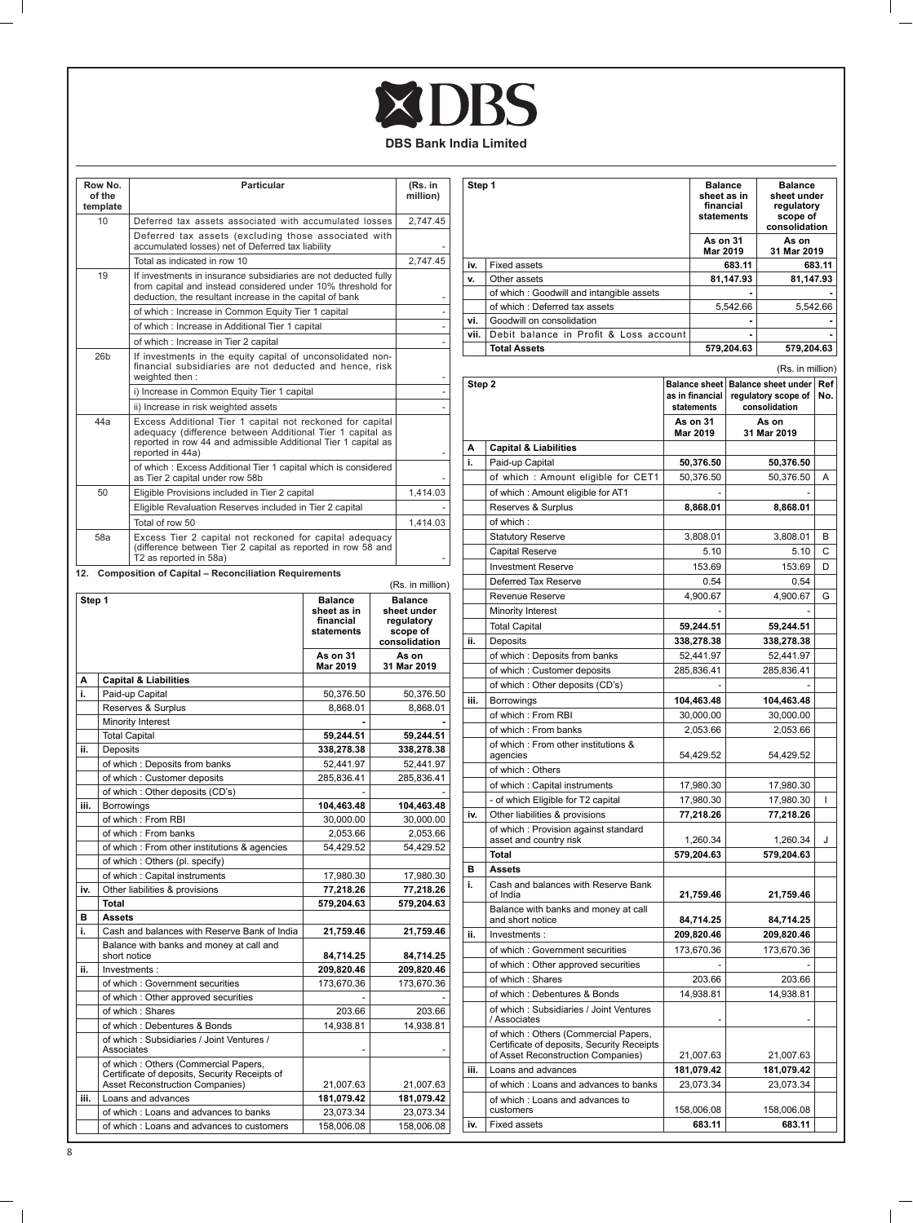## XDBS

**DBS Bank India Limited**

| Row No.<br>of the<br>template | Particular                                                                                                                                                                                                   | (Rs. in<br>million) |
|-------------------------------|--------------------------------------------------------------------------------------------------------------------------------------------------------------------------------------------------------------|---------------------|
| 10                            | Deferred tax assets associated with accumulated losses                                                                                                                                                       | 2,747.45            |
|                               | Deferred tax assets (excluding those associated with<br>accumulated losses) net of Deferred tax liability                                                                                                    |                     |
|                               | Total as indicated in row 10                                                                                                                                                                                 | 2.747.45            |
| 19                            | If investments in insurance subsidiaries are not deducted fully<br>from capital and instead considered under 10% threshold for<br>deduction, the resultant increase in the capital of bank                   |                     |
|                               | of which: Increase in Common Equity Tier 1 capital                                                                                                                                                           |                     |
|                               | of which: Increase in Additional Tier 1 capital                                                                                                                                                              |                     |
|                               | of which : Increase in Tier 2 capital                                                                                                                                                                        |                     |
| 26 <sub>b</sub>               | If investments in the equity capital of unconsolidated non-<br>financial subsidiaries are not deducted and hence, risk<br>weighted then:                                                                     |                     |
|                               | i) Increase in Common Equity Tier 1 capital                                                                                                                                                                  |                     |
|                               | ii) Increase in risk weighted assets                                                                                                                                                                         |                     |
| 44a                           | Excess Additional Tier 1 capital not reckoned for capital<br>adequacy (difference between Additional Tier 1 capital as<br>reported in row 44 and admissible Additional Tier 1 capital as<br>reported in 44a) |                     |
|                               | of which: Excess Additional Tier 1 capital which is considered<br>as Tier 2 capital under row 58b                                                                                                            |                     |
| 50                            | Eligible Provisions included in Tier 2 capital                                                                                                                                                               | 1,414.03            |
|                               | Eligible Revaluation Reserves included in Tier 2 capital                                                                                                                                                     |                     |
|                               | Total of row 50                                                                                                                                                                                              | 1.414.03            |
| 58a                           | Excess Tier 2 capital not reckoned for capital adequacy<br>(difference between Tier 2 capital as reported in row 58 and<br>T2 as reported in 58a)                                                            |                     |

|        |                                                                                                                          |                                                          | (Rs. in million)                                                         |
|--------|--------------------------------------------------------------------------------------------------------------------------|----------------------------------------------------------|--------------------------------------------------------------------------|
| Step 1 |                                                                                                                          | <b>Balance</b><br>sheet as in<br>financial<br>statements | <b>Balance</b><br>sheet under<br>regulatory<br>scope of<br>consolidation |
|        |                                                                                                                          | <b>As on 31</b><br>Mar 2019                              | As on<br>31 Mar 2019                                                     |
| A      | <b>Capital &amp; Liabilities</b>                                                                                         |                                                          |                                                                          |
| i.     | Paid-up Capital                                                                                                          | 50,376.50                                                | 50,376.50                                                                |
|        | Reserves & Surplus                                                                                                       | 8.868.01                                                 | 8.868.01                                                                 |
|        | Minority Interest                                                                                                        |                                                          |                                                                          |
|        | <b>Total Capital</b>                                                                                                     | 59,244.51                                                | 59,244.51                                                                |
| ii.    | Deposits                                                                                                                 | 338.278.38                                               | 338,278.38                                                               |
|        | of which: Deposits from banks                                                                                            | 52,441.97                                                | 52,441.97                                                                |
|        | of which: Customer deposits                                                                                              | 285,836.41                                               | 285,836.41                                                               |
|        | of which: Other deposits (CD's)                                                                                          |                                                          |                                                                          |
| iii.   | Borrowings                                                                                                               | 104,463.48                                               | 104,463.48                                                               |
|        | of which: From RBI                                                                                                       | 30,000.00                                                | 30,000.00                                                                |
|        | of which : From banks                                                                                                    | 2,053.66                                                 | 2,053.66                                                                 |
|        | of which : From other institutions & agencies                                                                            | 54.429.52                                                | 54.429.52                                                                |
|        | of which: Others (pl. specify)                                                                                           |                                                          |                                                                          |
|        | of which: Capital instruments                                                                                            | 17,980.30                                                | 17,980.30                                                                |
| iv.    | Other liabilities & provisions                                                                                           | 77,218.26                                                | 77,218.26                                                                |
|        | Total                                                                                                                    | 579,204.63                                               | 579,204.63                                                               |
| в      | <b>Assets</b>                                                                                                            |                                                          |                                                                          |
| i.     | Cash and balances with Reserve Bank of India                                                                             | 21,759.46                                                | 21,759.46                                                                |
|        | Balance with banks and money at call and<br>short notice                                                                 | 84.714.25                                                | 84,714.25                                                                |
| ii.    | Investments:                                                                                                             | 209,820.46                                               | 209,820.46                                                               |
|        | of which: Government securities                                                                                          | 173,670.36                                               | 173,670.36                                                               |
|        | of which: Other approved securities                                                                                      |                                                          |                                                                          |
|        | of which: Shares                                                                                                         | 203.66                                                   | 203.66                                                                   |
|        | of which: Debentures & Bonds                                                                                             | 14,938.81                                                | 14,938.81                                                                |
|        | of which: Subsidiaries / Joint Ventures /<br>Associates                                                                  |                                                          |                                                                          |
|        | of which: Others (Commercial Papers,<br>Certificate of deposits, Security Receipts of<br>Asset Reconstruction Companies) | 21,007.63                                                | 21,007.63                                                                |
| iii.   | Loans and advances                                                                                                       | 181,079.42                                               | 181,079.42                                                               |
|        | of which: Loans and advances to banks                                                                                    | 23,073.34                                                | 23,073.34                                                                |
|        | of which: Loans and advances to customers                                                                                | 158,006.08                                               | 158,006.08                                                               |

| Step 1 |                                                                                    | <b>Balance</b><br>sheet as in<br>financial<br>statements |            | <b>Balance</b><br>sheet under<br>regulatory<br>scope of<br>consolidation |          |
|--------|------------------------------------------------------------------------------------|----------------------------------------------------------|------------|--------------------------------------------------------------------------|----------|
|        |                                                                                    | As on 31<br>Mar 2019                                     |            | As on<br>31 Mar 2019                                                     |          |
| i۷.    | <b>Fixed assets</b>                                                                |                                                          | 683.11     |                                                                          | 683.11   |
| v.     | Other assets                                                                       |                                                          | 81,147.93  | 81,147.93                                                                |          |
|        | of which: Goodwill and intangible assets                                           |                                                          |            |                                                                          |          |
|        | of which: Deferred tax assets                                                      |                                                          | 5,542.66   |                                                                          | 5,542.66 |
| ٧i.    | Goodwill on consolidation                                                          |                                                          |            |                                                                          |          |
| vii.   | Debit balance in Profit & Loss account                                             |                                                          |            |                                                                          |          |
|        | <b>Total Assets</b>                                                                |                                                          | 579,204.63 | 579,204.63                                                               |          |
|        |                                                                                    |                                                          |            | (Rs. in million)                                                         |          |
| Step 2 |                                                                                    | <b>Balance sheet</b>                                     |            | <b>Balance sheet under</b>                                               | Ref      |
|        |                                                                                    | as in financial<br>statements                            |            | regulatory scope of<br>consolidation                                     | No.      |
|        |                                                                                    | As on 31<br>Mar 2019                                     |            | As on<br>31 Mar 2019                                                     |          |
| А      | <b>Capital &amp; Liabilities</b>                                                   |                                                          |            |                                                                          |          |
| i.     | Paid-up Capital                                                                    | 50,376.50                                                |            | 50,376.50                                                                |          |
|        | of which: Amount eligible for CET1                                                 | 50,376.50                                                |            | 50,376.50                                                                | Α        |
|        | of which : Amount eligible for AT1                                                 |                                                          |            |                                                                          |          |
|        | Reserves & Surplus                                                                 | 8,868.01                                                 |            | 8,868.01                                                                 |          |
|        | of which:                                                                          |                                                          |            |                                                                          |          |
|        | <b>Statutory Reserve</b>                                                           | 3,808.01                                                 |            | 3.808.01                                                                 | В        |
|        | Capital Reserve                                                                    | 5.10                                                     |            | 5.10                                                                     | С        |
|        | <b>Investment Reserve</b>                                                          | 153.69                                                   |            | 153.69                                                                   | D        |
|        | Deferred Tax Reserve                                                               | 0.54                                                     |            | 0.54                                                                     |          |
|        | Revenue Reserve                                                                    | 4,900.67                                                 |            | 4,900.67                                                                 | G        |
|        | Minority Interest                                                                  |                                                          |            |                                                                          |          |
|        | <b>Total Capital</b>                                                               | 59,244.51                                                |            | 59,244.51                                                                |          |
| ii.    | Deposits                                                                           | 338,278.38                                               |            | 338,278.38                                                               |          |
|        | of which: Deposits from banks                                                      | 52,441.97                                                |            | 52,441.97                                                                |          |
|        | of which: Customer deposits                                                        | 285,836.41                                               |            | 285,836.41                                                               |          |
|        | of which: Other deposits (CD's)                                                    |                                                          |            |                                                                          |          |
| iii.   | Borrowings                                                                         | 104,463.48                                               |            | 104,463.48                                                               |          |
|        | of which: From RBI                                                                 | 30,000.00                                                |            | 30,000.00                                                                |          |
|        | of which: From banks                                                               | 2,053.66                                                 |            | 2,053.66                                                                 |          |
|        | of which: From other institutions &                                                |                                                          |            |                                                                          |          |
|        | agencies                                                                           | 54,429.52                                                |            | 54,429.52                                                                |          |
|        | of which: Others<br>of which: Capital instruments                                  | 17,980.30                                                |            | 17,980.30                                                                |          |
|        |                                                                                    |                                                          |            |                                                                          | I        |
| iv.    | - of which Eligible for T2 capital<br>Other liabilities & provisions               | 17,980.30<br>77,218.26                                   |            | 17,980.30<br>77,218.26                                                   |          |
|        | of which: Provision against standard                                               |                                                          |            |                                                                          |          |
|        | asset and country risk                                                             | 1,260.34                                                 |            | 1,260.34                                                                 | J        |
|        | Total                                                                              | 579,204.63                                               |            | 579,204.63                                                               |          |
| в      | <b>Assets</b>                                                                      |                                                          |            |                                                                          |          |
| i.     | Cash and balances with Reserve Bank<br>of India                                    | 21,759.46                                                |            | 21,759.46                                                                |          |
|        | Balance with banks and money at call<br>and short notice                           | 84,714.25                                                |            | 84,714.25                                                                |          |
| ii.    | Investments:                                                                       | 209,820.46                                               |            | 209,820.46                                                               |          |
|        | of which : Government securities                                                   | 173,670.36                                               |            | 173,670.36                                                               |          |
|        | of which: Other approved securities                                                |                                                          |            |                                                                          |          |
|        | of which: Shares                                                                   | 203.66                                                   |            | 203.66                                                                   |          |
|        | of which: Debentures & Bonds                                                       | 14,938.81                                                |            | 14,938.81                                                                |          |
|        | of which: Subsidiaries / Joint Ventures<br>/ Associates                            |                                                          |            |                                                                          |          |
|        | of which: Others (Commercial Papers,<br>Certificate of deposits, Security Receipts |                                                          |            |                                                                          |          |
|        | of Asset Reconstruction Companies)                                                 | 21,007.63                                                |            | 21,007.63                                                                |          |
| iii.   | Loans and advances                                                                 | 181,079.42                                               |            | 181,079.42                                                               |          |
|        | of which: Loans and advances to banks                                              | 23,073.34                                                |            | 23,073.34                                                                |          |
|        | of which: Loans and advances to<br>customers                                       | 158,006.08                                               |            | 158,006.08                                                               |          |
| İ٧.    | <b>Fixed assets</b>                                                                | 683.11                                                   |            | 683.11                                                                   |          |

 $\mathbb{R}^n$ 

 $=$   $\overline{1}$ 

 $\mathbb{R}$